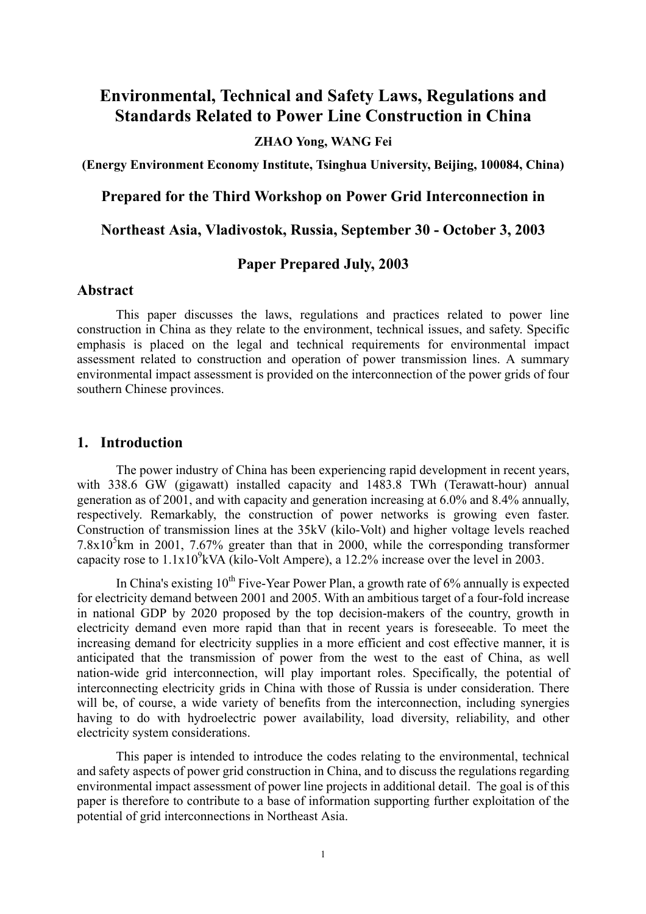# **Environmental, Technical and Safety Laws, Regulations and Standards Related to Power Line Construction in China**

#### **ZHAO Yong, WANG Fei**

**(Energy Environment Economy Institute, Tsinghua University, Beijing, 100084, China)** 

**Prepared for the Third Workshop on Power Grid Interconnection in** 

**Northeast Asia, Vladivostok, Russia, September 30 - October 3, 2003** 

## **Paper Prepared July, 2003**

#### **Abstract**

This paper discusses the laws, regulations and practices related to power line construction in China as they relate to the environment, technical issues, and safety. Specific emphasis is placed on the legal and technical requirements for environmental impact assessment related to construction and operation of power transmission lines. A summary environmental impact assessment is provided on the interconnection of the power grids of four southern Chinese provinces.

#### **1. Introduction**

The power industry of China has been experiencing rapid development in recent years, with 338.6 GW (gigawatt) installed capacity and 1483.8 TWh (Terawatt-hour) annual generation as of 2001, and with capacity and generation increasing at 6.0% and 8.4% annually, respectively. Remarkably, the construction of power networks is growing even faster. Construction of transmission lines at the 35kV (kilo-Volt) and higher voltage levels reached  $7.8 \times 10^5$  km in 2001,  $7.67\%$  greater than that in 2000, while the corresponding transformer capacity rose to  $1.1x10<sup>9</sup>kVA$  (kilo-Volt Ampere), a 12.2% increase over the level in 2003.

In China's existing  $10^{th}$  Five-Year Power Plan, a growth rate of 6% annually is expected for electricity demand between 2001 and 2005. With an ambitious target of a four-fold increase in national GDP by 2020 proposed by the top decision-makers of the country, growth in electricity demand even more rapid than that in recent years is foreseeable. To meet the increasing demand for electricity supplies in a more efficient and cost effective manner, it is anticipated that the transmission of power from the west to the east of China, as well nation-wide grid interconnection, will play important roles. Specifically, the potential of interconnecting electricity grids in China with those of Russia is under consideration. There will be, of course, a wide variety of benefits from the interconnection, including synergies having to do with hydroelectric power availability, load diversity, reliability, and other electricity system considerations.

This paper is intended to introduce the codes relating to the environmental, technical and safety aspects of power grid construction in China, and to discuss the regulations regarding environmental impact assessment of power line projects in additional detail. The goal is of this paper is therefore to contribute to a base of information supporting further exploitation of the potential of grid interconnections in Northeast Asia.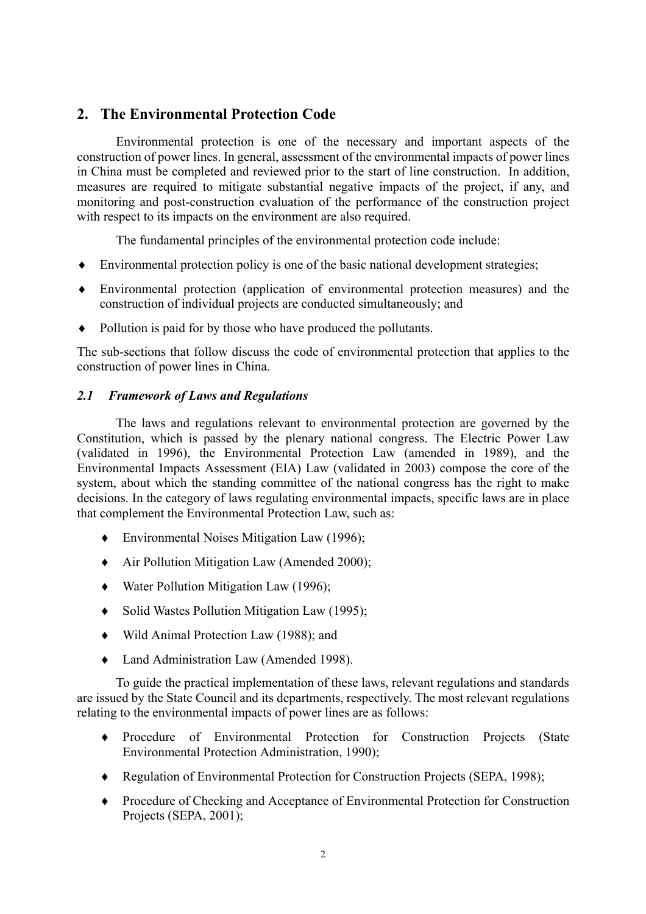# **2. The Environmental Protection Code**

Environmental protection is one of the necessary and important aspects of the construction of power lines. In general, assessment of the environmental impacts of power lines in China must be completed and reviewed prior to the start of line construction. In addition, measures are required to mitigate substantial negative impacts of the project, if any, and monitoring and post-construction evaluation of the performance of the construction project with respect to its impacts on the environment are also required.

The fundamental principles of the environmental protection code include:

- ♦ Environmental protection policy is one of the basic national development strategies;
- ♦ Environmental protection (application of environmental protection measures) and the construction of individual projects are conducted simultaneously; and
- ♦ Pollution is paid for by those who have produced the pollutants.

The sub-sections that follow discuss the code of environmental protection that applies to the construction of power lines in China.

#### *2.1 Framework of Laws and Regulations*

The laws and regulations relevant to environmental protection are governed by the Constitution, which is passed by the plenary national congress. The Electric Power Law (validated in 1996), the Environmental Protection Law (amended in 1989), and the Environmental Impacts Assessment (EIA) Law (validated in 2003) compose the core of the system, about which the standing committee of the national congress has the right to make decisions. In the category of laws regulating environmental impacts, specific laws are in place that complement the Environmental Protection Law, such as:

- ♦ Environmental Noises Mitigation Law (1996);
- ♦ Air Pollution Mitigation Law (Amended 2000);
- ♦ Water Pollution Mitigation Law (1996);
- ♦ Solid Wastes Pollution Mitigation Law (1995);
- ♦ Wild Animal Protection Law (1988); and
- ♦ Land Administration Law (Amended 1998).

To guide the practical implementation of these laws, relevant regulations and standards are issued by the State Council and its departments, respectively. The most relevant regulations relating to the environmental impacts of power lines are as follows:

- ♦ Procedure of Environmental Protection for Construction Projects (State Environmental Protection Administration, 1990);
- ♦ Regulation of Environmental Protection for Construction Projects (SEPA, 1998);
- $\bullet$ Procedure of Checking and Acceptance of Environmental Protection for Construction Projects (SEPA, 2001);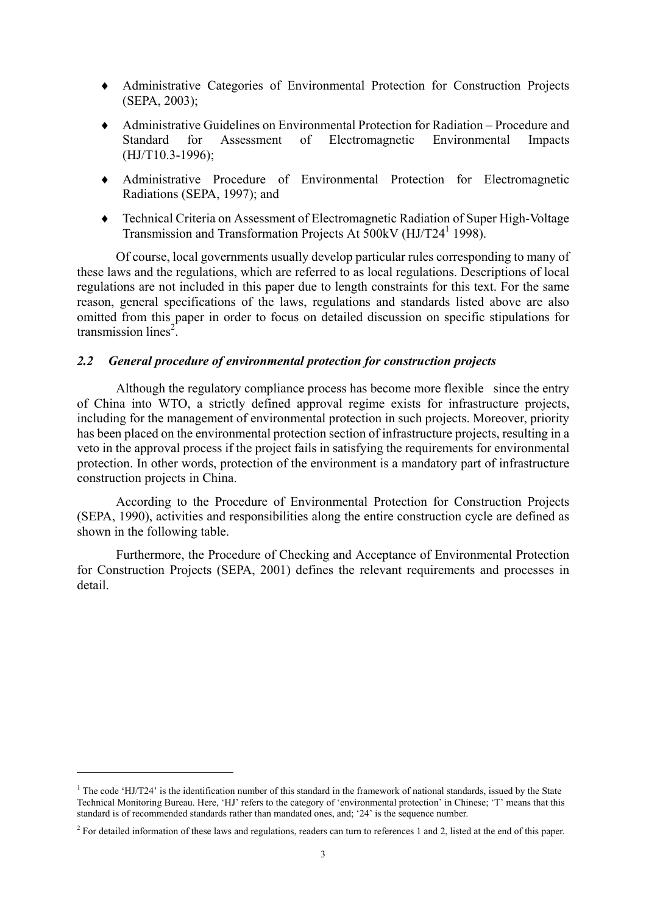- ♦ Administrative Categories of Environmental Protection for Construction Projects (SEPA, 2003);
- ♦ Administrative Guidelines on Environmental Protection for Radiation Procedure and Standard for Assessment of Electromagnetic Environmental Impacts (HJ/T10.3-1996);
- ♦ Administrative Procedure of Environmental Protection for Electromagnetic Radiations (SEPA, 1997); and
- ♦ Technical Criteria on Assessment of Electromagnetic Radiation of Super High-Voltage Transmission and Transformation Projects At 500kV (HJ/T24<sup>1</sup> 1998).

Of course, local governments usually develop particular rules corresponding to many of these laws and the regulations, which are referred to as local regulations. Descriptions of local regulations are not included in this paper due to length constraints for this text. For the same reason, general specifications of the laws, regulations and standards listed above are also omitted from this paper in order to focus on detailed discussion on specific stipulations for transmission lines<sup>[2](#page-2-1)</sup>.

#### *2.2 General procedure of environmental protection for construction projects*

Although the regulatory compliance process has become more flexible since the entry of China into WTO, a strictly defined approval regime exists for infrastructure projects, including for the management of environmental protection in such projects. Moreover, priority has been placed on the environmental protection section of infrastructure projects, resulting in a veto in the approval process if the project fails in satisfying the requirements for environmental protection. In other words, protection of the environment is a mandatory part of infrastructure construction projects in China.

According to the Procedure of Environmental Protection for Construction Projects (SEPA, 1990), activities and responsibilities along the entire construction cycle are defined as shown in the following table.

Furthermore, the Procedure of Checking and Acceptance of Environmental Protection for Construction Projects (SEPA, 2001) defines the relevant requirements and processes in detail.

 $\overline{a}$ 

<span id="page-2-0"></span><sup>&</sup>lt;sup>1</sup> The code 'HJ/T24' is the identification number of this standard in the framework of national standards, issued by the State Technical Monitoring Bureau. Here, 'HJ' refers to the category of 'environmental protection' in Chinese; 'T' means that this standard is of recommended standards rather than mandated ones, and; '24' is the sequence number.

<span id="page-2-1"></span><sup>&</sup>lt;sup>2</sup> For detailed information of these laws and regulations, readers can turn to references 1 and 2, listed at the end of this paper.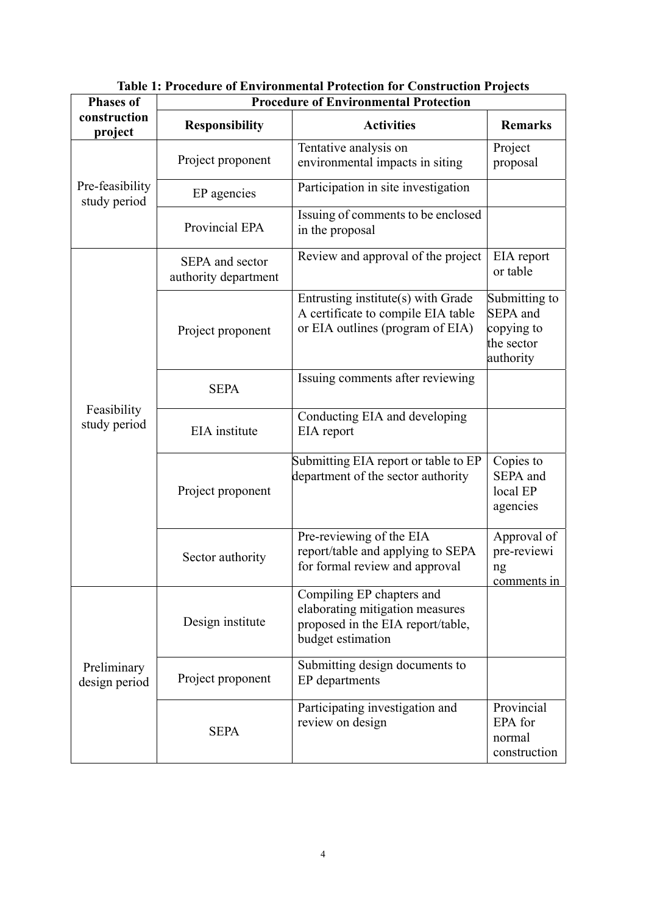| <b>Phases of</b>                | <b>Procedure of Environmental Protection</b> |                                                                                                                        |                                                                    |  |  |  |
|---------------------------------|----------------------------------------------|------------------------------------------------------------------------------------------------------------------------|--------------------------------------------------------------------|--|--|--|
| construction<br>project         | <b>Responsibility</b>                        | <b>Activities</b>                                                                                                      | <b>Remarks</b>                                                     |  |  |  |
| Pre-feasibility<br>study period | Project proponent                            | Tentative analysis on<br>environmental impacts in siting                                                               | Project<br>proposal                                                |  |  |  |
|                                 | EP agencies                                  | Participation in site investigation                                                                                    |                                                                    |  |  |  |
|                                 | Provincial EPA                               | Issuing of comments to be enclosed<br>in the proposal                                                                  |                                                                    |  |  |  |
| Feasibility<br>study period     | SEPA and sector<br>authority department      | Review and approval of the project                                                                                     | EIA report<br>or table                                             |  |  |  |
|                                 | Project proponent                            | Entrusting institute(s) with Grade<br>A certificate to compile EIA table<br>or EIA outlines (program of EIA)           | Submitting to<br>SEPA and<br>copying to<br>the sector<br>authority |  |  |  |
|                                 | <b>SEPA</b>                                  | Issuing comments after reviewing                                                                                       |                                                                    |  |  |  |
|                                 | EIA institute                                | Conducting EIA and developing<br>EIA report                                                                            |                                                                    |  |  |  |
|                                 | Project proponent                            | Submitting EIA report or table to EP<br>department of the sector authority                                             | Copies to<br>SEPA and<br>local EP<br>agencies                      |  |  |  |
|                                 | Sector authority                             | Pre-reviewing of the EIA<br>report/table and applying to SEPA<br>for formal review and approval                        | Approval of<br>pre-reviewi<br>ng<br><u>comments</u> in             |  |  |  |
| Preliminary<br>design period    | Design institute                             | Compiling EP chapters and<br>elaborating mitigation measures<br>proposed in the EIA report/table,<br>budget estimation |                                                                    |  |  |  |
|                                 | Project proponent                            | Submitting design documents to<br>EP departments                                                                       |                                                                    |  |  |  |
|                                 | <b>SEPA</b>                                  | Participating investigation and<br>review on design                                                                    | Provincial<br>EPA for<br>normal<br>construction                    |  |  |  |

**Table 1: Procedure of Environmental Protection for Construction Projects**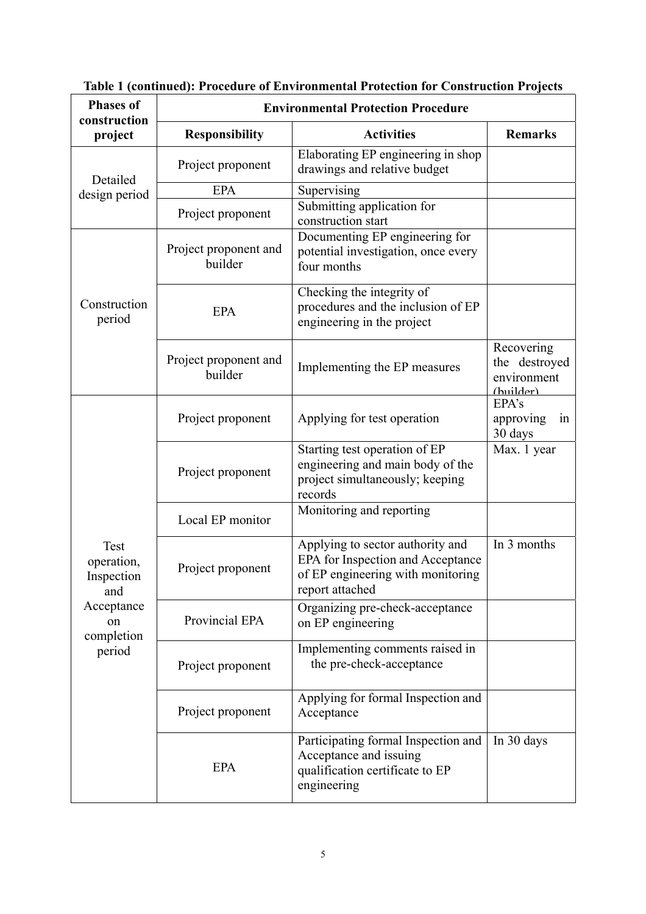| <b>Phases of</b><br>construction                                                    | <b>Environmental Protection Procedure</b> |                                                                                                                               |                                                         |  |  |  |
|-------------------------------------------------------------------------------------|-------------------------------------------|-------------------------------------------------------------------------------------------------------------------------------|---------------------------------------------------------|--|--|--|
| project                                                                             | <b>Responsibility</b>                     | <b>Activities</b>                                                                                                             | <b>Remarks</b>                                          |  |  |  |
| Detailed<br>design period                                                           | Project proponent                         | Elaborating EP engineering in shop<br>drawings and relative budget                                                            |                                                         |  |  |  |
|                                                                                     | <b>EPA</b>                                | Supervising                                                                                                                   |                                                         |  |  |  |
|                                                                                     | Project proponent                         | Submitting application for<br>construction start                                                                              |                                                         |  |  |  |
| Construction<br>period                                                              | Project proponent and<br>builder          | Documenting EP engineering for<br>potential investigation, once every<br>four months                                          |                                                         |  |  |  |
|                                                                                     | <b>EPA</b>                                | Checking the integrity of<br>procedures and the inclusion of EP<br>engineering in the project                                 |                                                         |  |  |  |
|                                                                                     | Project proponent and<br>builder          | Implementing the EP measures                                                                                                  | Recovering<br>the destroyed<br>environment<br>(builder) |  |  |  |
| Test<br>operation,<br>Inspection<br>and<br>Acceptance<br>on<br>completion<br>period | Project proponent                         | Applying for test operation                                                                                                   | EPA's<br>approving<br>in<br>30 days                     |  |  |  |
|                                                                                     | Project proponent                         | Starting test operation of EP<br>engineering and main body of the<br>project simultaneously; keeping<br>records               | Max. 1 year                                             |  |  |  |
|                                                                                     | Local EP monitor                          | Monitoring and reporting                                                                                                      |                                                         |  |  |  |
|                                                                                     | Project proponent                         | Applying to sector authority and<br>EPA for Inspection and Acceptance<br>of EP engineering with monitoring<br>report attached | In 3 months                                             |  |  |  |
|                                                                                     | Provincial EPA                            | Organizing pre-check-acceptance<br>on EP engineering                                                                          |                                                         |  |  |  |
|                                                                                     | Project proponent                         | Implementing comments raised in<br>the pre-check-acceptance                                                                   |                                                         |  |  |  |
|                                                                                     | Project proponent                         | Applying for formal Inspection and<br>Acceptance                                                                              |                                                         |  |  |  |
|                                                                                     | <b>EPA</b>                                | Participating formal Inspection and<br>Acceptance and issuing<br>qualification certificate to EP<br>engineering               | In 30 days                                              |  |  |  |

# **Table 1 (continued): Procedure of Environmental Protection for Construction Projects**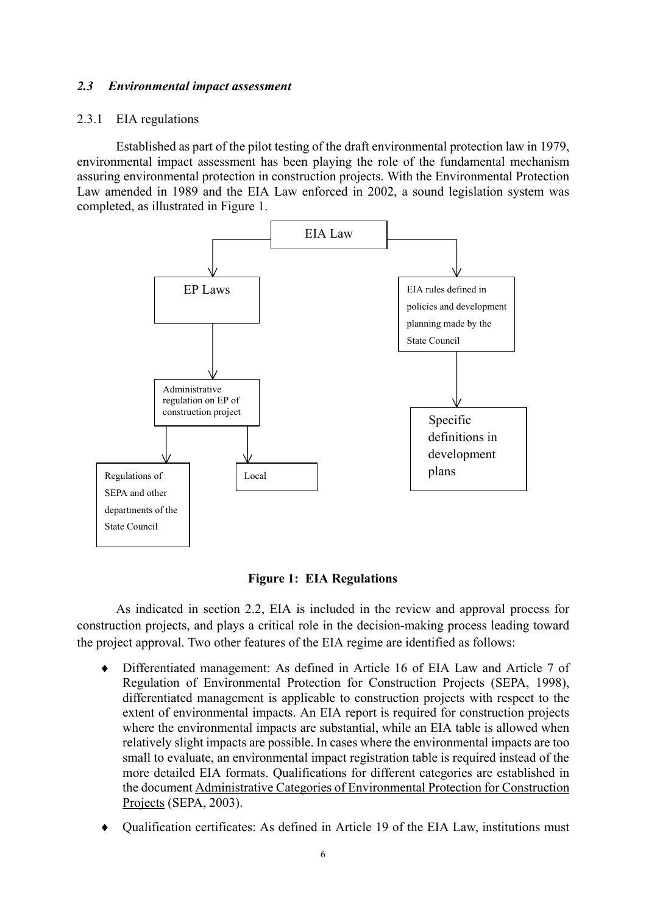#### *2.3 Environmental impact assessment*

#### 2.3.1 EIA regulations

Established as part of the pilot testing of the draft environmental protection law in 1979, environmental impact assessment has been playing the role of the fundamental mechanism assuring environmental protection in construction projects. With the Environmental Protection Law amended in 1989 and the EIA Law enforced in 2002, a sound legislation system was completed, as illustrated in Figure 1.



**Figure 1: EIA Regulations** 

As indicated in section 2.2, EIA is included in the review and approval process for construction projects, and plays a critical role in the decision-making process leading toward the project approval. Two other features of the EIA regime are identified as follows:

- ♦ Differentiated management: As defined in Article 16 of EIA Law and Article 7 of Regulation of Environmental Protection for Construction Projects (SEPA, 1998), differentiated management is applicable to construction projects with respect to the extent of environmental impacts. An EIA report is required for construction projects where the environmental impacts are substantial, while an EIA table is allowed when relatively slight impacts are possible. In cases where the environmental impacts are too small to evaluate, an environmental impact registration table is required instead of the more detailed EIA formats. Qualifications for different categories are established in the document Administrative Categories of Environmental Protection for Construction Projects (SEPA, 2003).
- ♦ Qualification certificates: As defined in Article 19 of the EIA Law, institutions must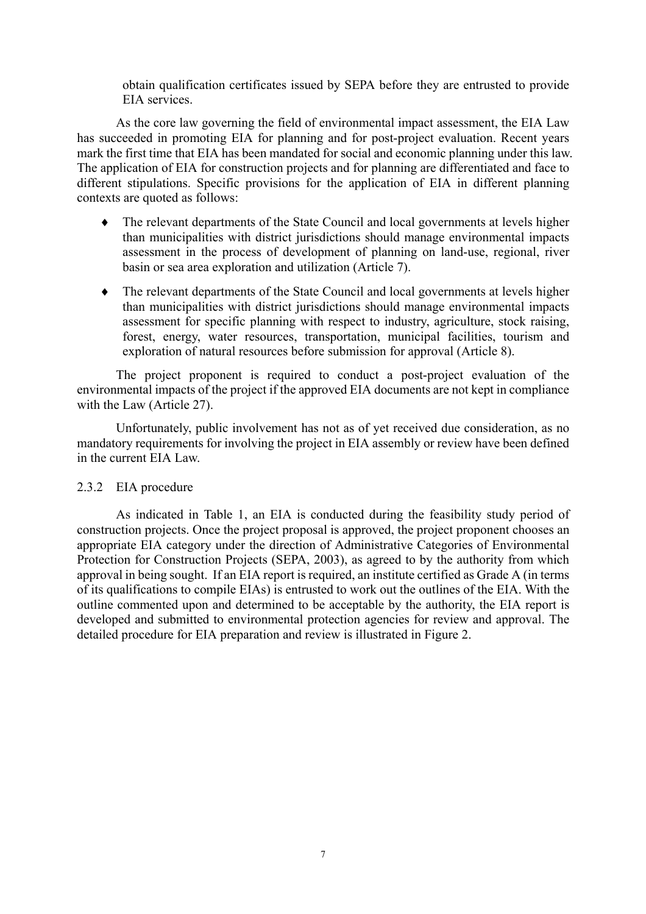obtain qualification certificates issued by SEPA before they are entrusted to provide EIA services.

As the core law governing the field of environmental impact assessment, the EIA Law has succeeded in promoting EIA for planning and for post-project evaluation. Recent years mark the first time that EIA has been mandated for social and economic planning under this law. The application of EIA for construction projects and for planning are differentiated and face to different stipulations. Specific provisions for the application of EIA in different planning contexts are quoted as follows:

- The relevant departments of the State Council and local governments at levels higher than municipalities with district jurisdictions should manage environmental impacts assessment in the process of development of planning on land-use, regional, river basin or sea area exploration and utilization (Article 7).  $\bullet$
- ♦ The relevant departments of the State Council and local governments at levels higher than municipalities with district jurisdictions should manage environmental impacts assessment for specific planning with respect to industry, agriculture, stock raising, forest, energy, water resources, transportation, municipal facilities, tourism and exploration of natural resources before submission for approval (Article 8).

The project proponent is required to conduct a post-project evaluation of the environmental impacts of the project if the approved EIA documents are not kept in compliance with the Law (Article 27).

Unfortunately, public involvement has not as of yet received due consideration, as no mandatory requirements for involving the project in EIA assembly or review have been defined in the current EIA Law.

#### 2.3.2 EIA procedure

As indicated in Table 1, an EIA is conducted during the feasibility study period of construction projects. Once the project proposal is approved, the project proponent chooses an appropriate EIA category under the direction of Administrative Categories of Environmental Protection for Construction Projects (SEPA, 2003), as agreed to by the authority from which approval in being sought. If an EIA report is required, an institute certified as Grade A (in terms of its qualifications to compile EIAs) is entrusted to work out the outlines of the EIA. With the outline commented upon and determined to be acceptable by the authority, the EIA report is developed and submitted to environmental protection agencies for review and approval. The detailed procedure for EIA preparation and review is illustrated in Figure 2.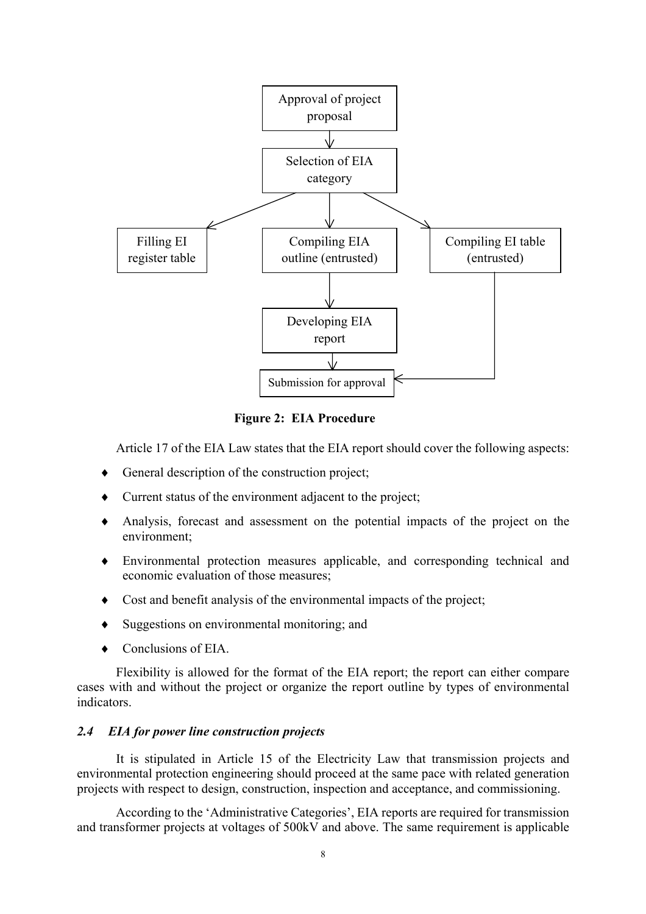

**Figure 2: EIA Procedure** 

Article 17 of the EIA Law states that the EIA report should cover the following aspects:

- ♦ General description of the construction project;
- ♦ Current status of the environment adjacent to the project;
- ♦ Analysis, forecast and assessment on the potential impacts of the project on the environment;
- ♦ Environmental protection measures applicable, and corresponding technical and economic evaluation of those measures;
- ♦ Cost and benefit analysis of the environmental impacts of the project;
- ♦ Suggestions on environmental monitoring; and
- ♦ Conclusions of EIA.

Flexibility is allowed for the format of the EIA report; the report can either compare cases with and without the project or organize the report outline by types of environmental indicators.

#### *2.4 EIA for power line construction projects*

It is stipulated in Article 15 of the Electricity Law that transmission projects and environmental protection engineering should proceed at the same pace with related generation projects with respect to design, construction, inspection and acceptance, and commissioning.

According to the 'Administrative Categories', EIA reports are required for transmission and transformer projects at voltages of 500kV and above. The same requirement is applicable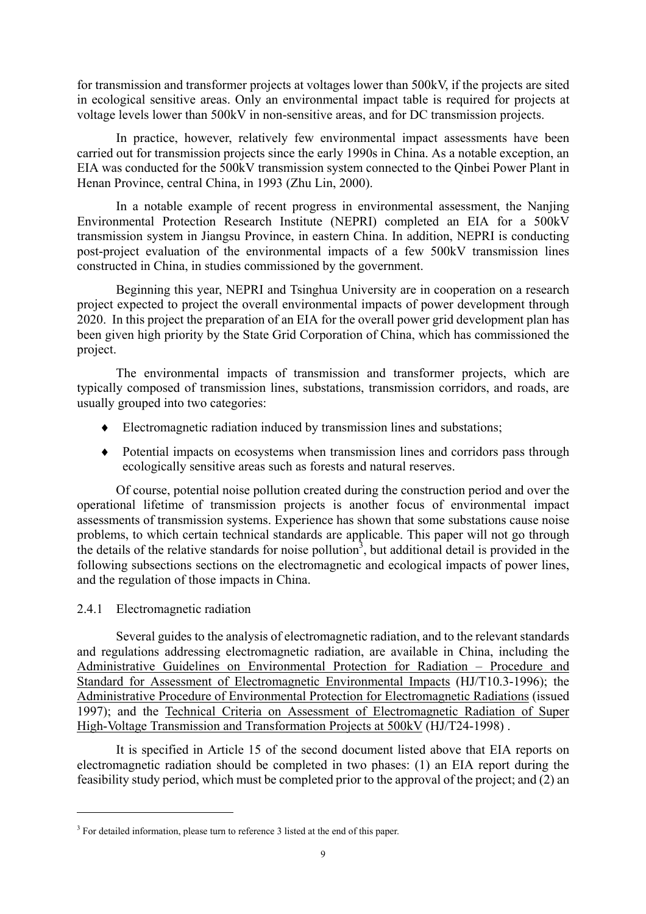for transmission and transformer projects at voltages lower than 500kV, if the projects are sited in ecological sensitive areas. Only an environmental impact table is required for projects at voltage levels lower than 500kV in non-sensitive areas, and for DC transmission projects.

In practice, however, relatively few environmental impact assessments have been carried out for transmission projects since the early 1990s in China. As a notable exception, an EIA was conducted for the 500kV transmission system connected to the Qinbei Power Plant in Henan Province, central China, in 1993 (Zhu Lin, 2000).

In a notable example of recent progress in environmental assessment, the Nanjing Environmental Protection Research Institute (NEPRI) completed an EIA for a 500kV transmission system in Jiangsu Province, in eastern China. In addition, NEPRI is conducting post-project evaluation of the environmental impacts of a few 500kV transmission lines constructed in China, in studies commissioned by the government.

Beginning this year, NEPRI and Tsinghua University are in cooperation on a research project expected to project the overall environmental impacts of power development through 2020. In this project the preparation of an EIA for the overall power grid development plan has been given high priority by the State Grid Corporation of China, which has commissioned the project.

The environmental impacts of transmission and transformer projects, which are typically composed of transmission lines, substations, transmission corridors, and roads, are usually grouped into two categories:

- ♦ Electromagnetic radiation induced by transmission lines and substations;
- ♦ Potential impacts on ecosystems when transmission lines and corridors pass through ecologically sensitive areas such as forests and natural reserves.

Of course, potential noise pollution created during the construction period and over the operational lifetime of transmission projects is another focus of environmental impact assessments of transmission systems. Experience has shown that some substations cause noise problems, to which certain technical standards are applicable. This paper will not go through the details of the relative standards for noise pollution<sup>[3](#page-8-0)</sup>, but additional detail is provided in the following subsections sections on the electromagnetic and ecological impacts of power lines, and the regulation of those impacts in China.

#### 2.4.1 Electromagnetic radiation

 $\overline{a}$ 

Several guides to the analysis of electromagnetic radiation, and to the relevant standards and regulations addressing electromagnetic radiation, are available in China, including the Administrative Guidelines on Environmental Protection for Radiation – Procedure and Standard for Assessment of Electromagnetic Environmental Impacts (HJ/T10.3-1996); the Administrative Procedure of Environmental Protection for Electromagnetic Radiations (issued 1997); and the Technical Criteria on Assessment of Electromagnetic Radiation of Super High-Voltage Transmission and Transformation Projects at 500kV (HJ/T24-1998) .

It is specified in Article 15 of the second document listed above that EIA reports on electromagnetic radiation should be completed in two phases: (1) an EIA report during the feasibility study period, which must be completed prior to the approval of the project; and (2) an

<span id="page-8-0"></span> $3$  For detailed information, please turn to reference 3 listed at the end of this paper.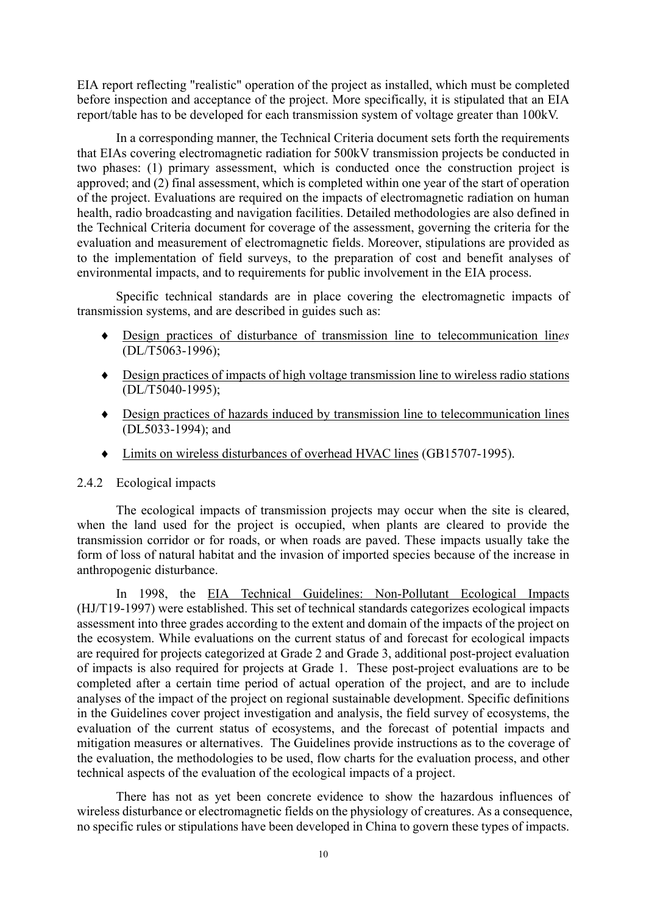EIA report reflecting "realistic" operation of the project as installed, which must be completed before inspection and acceptance of the project. More specifically, it is stipulated that an EIA report/table has to be developed for each transmission system of voltage greater than 100kV.

In a corresponding manner, the Technical Criteria document sets forth the requirements that EIAs covering electromagnetic radiation for 500kV transmission projects be conducted in two phases: (1) primary assessment, which is conducted once the construction project is approved; and (2) final assessment, which is completed within one year of the start of operation of the project. Evaluations are required on the impacts of electromagnetic radiation on human health, radio broadcasting and navigation facilities. Detailed methodologies are also defined in the Technical Criteria document for coverage of the assessment, governing the criteria for the evaluation and measurement of electromagnetic fields. Moreover, stipulations are provided as to the implementation of field surveys, to the preparation of cost and benefit analyses of environmental impacts, and to requirements for public involvement in the EIA process.

Specific technical standards are in place covering the electromagnetic impacts of transmission systems, and are described in guides such as:

- Design practices of disturbance of transmission line to telecommunication lin*es*  (DL/T5063-1996); ♦
- Design practices of impacts of high voltage transmission line to wireless radio stations ♦ (DL/T5040-1995);
- Design practices of hazards induced by transmission line to telecommunication lines (DL5033-1994); and
- ♦ Limits on wireless disturbances of overhead HVAC lines (GB15707-1995).

#### 2.4.2 Ecological impacts

The ecological impacts of transmission projects may occur when the site is cleared, when the land used for the project is occupied, when plants are cleared to provide the transmission corridor or for roads, or when roads are paved. These impacts usually take the form of loss of natural habitat and the invasion of imported species because of the increase in anthropogenic disturbance.

In 1998, the EIA Technical Guidelines: Non-Pollutant Ecological Impacts (HJ/T19-1997) were established. This set of technical standards categorizes ecological impacts assessment into three grades according to the extent and domain of the impacts of the project on the ecosystem. While evaluations on the current status of and forecast for ecological impacts are required for projects categorized at Grade 2 and Grade 3, additional post-project evaluation of impacts is also required for projects at Grade 1. These post-project evaluations are to be completed after a certain time period of actual operation of the project, and are to include analyses of the impact of the project on regional sustainable development. Specific definitions in the Guidelines cover project investigation and analysis, the field survey of ecosystems, the evaluation of the current status of ecosystems, and the forecast of potential impacts and mitigation measures or alternatives. The Guidelines provide instructions as to the coverage of the evaluation, the methodologies to be used, flow charts for the evaluation process, and other technical aspects of the evaluation of the ecological impacts of a project.

There has not as yet been concrete evidence to show the hazardous influences of wireless disturbance or electromagnetic fields on the physiology of creatures. As a consequence, no specific rules or stipulations have been developed in China to govern these types of impacts.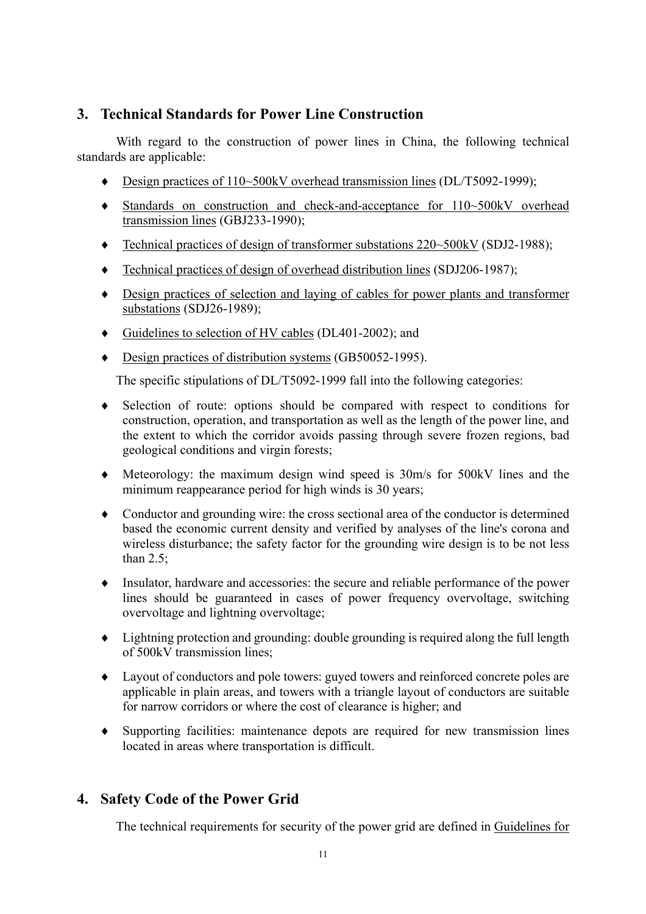# **3. Technical Standards for Power Line Construction**

With regard to the construction of power lines in China, the following technical standards are applicable:

- ♦ Design practices of 110~500kV overhead transmission lines (DL/T5092-1999);
- Standards on construction and check-and-acceptance for 110~500kV overhead transmission lines (GBJ233-1990);
- ♦ Technical practices of design of transformer substations 220~500kV (SDJ2-1988);
- ♦ Technical practices of design of overhead distribution lines (SDJ206-1987);
- Design practices of selection and laying of cables for power plants and transformer substations (SDJ26-1989);
- ♦ Guidelines to selection of HV cables (DL401-2002); and
- ♦ Design practices of distribution systems (GB50052-1995).

The specific stipulations of DL/T5092-1999 fall into the following categories:

- Selection of route: options should be compared with respect to conditions for ♦ construction, operation, and transportation as well as the length of the power line, and the extent to which the corridor avoids passing through severe frozen regions, bad geological conditions and virgin forests;
- ♦ Meteorology: the maximum design wind speed is 30m/s for 500kV lines and the minimum reappearance period for high winds is 30 years;
- ♦ Conductor and grounding wire: the cross sectional area of the conductor is determined based the economic current density and verified by analyses of the line's corona and wireless disturbance; the safety factor for the grounding wire design is to be not less than 2.5;
- ♦ Insulator, hardware and accessories: the secure and reliable performance of the power lines should be guaranteed in cases of power frequency overvoltage, switching overvoltage and lightning overvoltage;
- ♦ Lightning protection and grounding: double grounding is required along the full length of 500kV transmission lines;
- ♦ Layout of conductors and pole towers: guyed towers and reinforced concrete poles are applicable in plain areas, and towers with a triangle layout of conductors are suitable for narrow corridors or where the cost of clearance is higher; and
- ♦ Supporting facilities: maintenance depots are required for new transmission lines located in areas where transportation is difficult.

# **4. Safety Code of the Power Grid**

The technical requirements for security of the power grid are defined in Guidelines for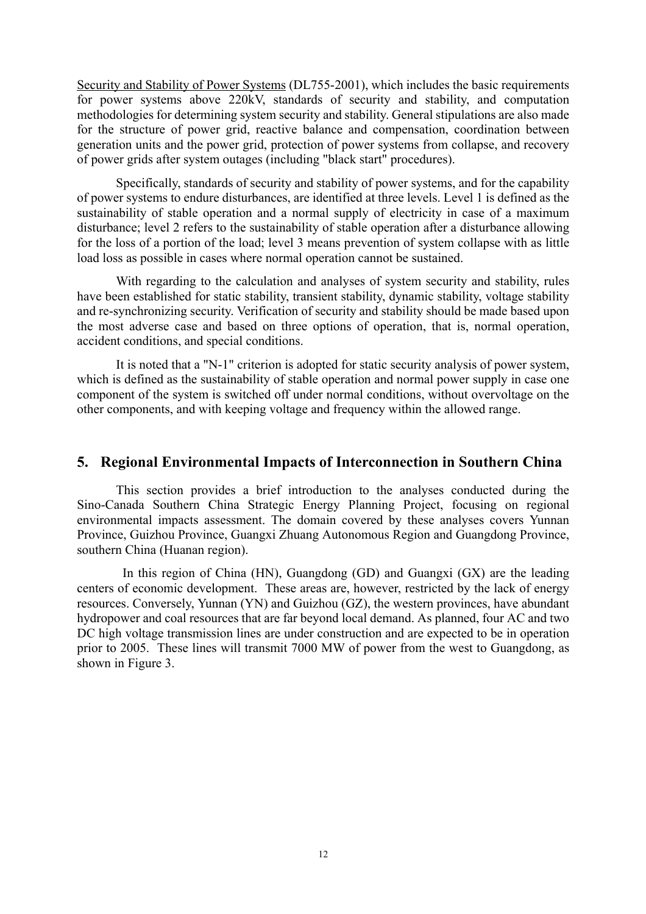Security and Stability of Power Systems (DL755-2001), which includes the basic requirements for power systems above 220kV, standards of security and stability, and computation methodologies for determining system security and stability. General stipulations are also made for the structure of power grid, reactive balance and compensation, coordination between generation units and the power grid, protection of power systems from collapse, and recovery of power grids after system outages (including "black start" procedures).

Specifically, standards of security and stability of power systems, and for the capability of power systems to endure disturbances, are identified at three levels. Level 1 is defined as the sustainability of stable operation and a normal supply of electricity in case of a maximum disturbance; level 2 refers to the sustainability of stable operation after a disturbance allowing for the loss of a portion of the load; level 3 means prevention of system collapse with as little load loss as possible in cases where normal operation cannot be sustained.

With regarding to the calculation and analyses of system security and stability, rules have been established for static stability, transient stability, dynamic stability, voltage stability and re-synchronizing security. Verification of security and stability should be made based upon the most adverse case and based on three options of operation, that is, normal operation, accident conditions, and special conditions.

It is noted that a "N-1" criterion is adopted for static security analysis of power system, which is defined as the sustainability of stable operation and normal power supply in case one component of the system is switched off under normal conditions, without overvoltage on the other components, and with keeping voltage and frequency within the allowed range.

### **5. Regional Environmental Impacts of Interconnection in Southern China**

This section provides a brief introduction to the analyses conducted during the Sino-Canada Southern China Strategic Energy Planning Project, focusing on regional environmental impacts assessment. The domain covered by these analyses covers Yunnan Province, Guizhou Province, Guangxi Zhuang Autonomous Region and Guangdong Province, southern China (Huanan region).

In this region of China (HN), Guangdong (GD) and Guangxi (GX) are the leading centers of economic development. These areas are, however, restricted by the lack of energy resources. Conversely, Yunnan (YN) and Guizhou (GZ), the western provinces, have abundant hydropower and coal resources that are far beyond local demand. As planned, four AC and two DC high voltage transmission lines are under construction and are expected to be in operation prior to 2005. These lines will transmit 7000 MW of power from the west to Guangdong, as shown in Figure 3.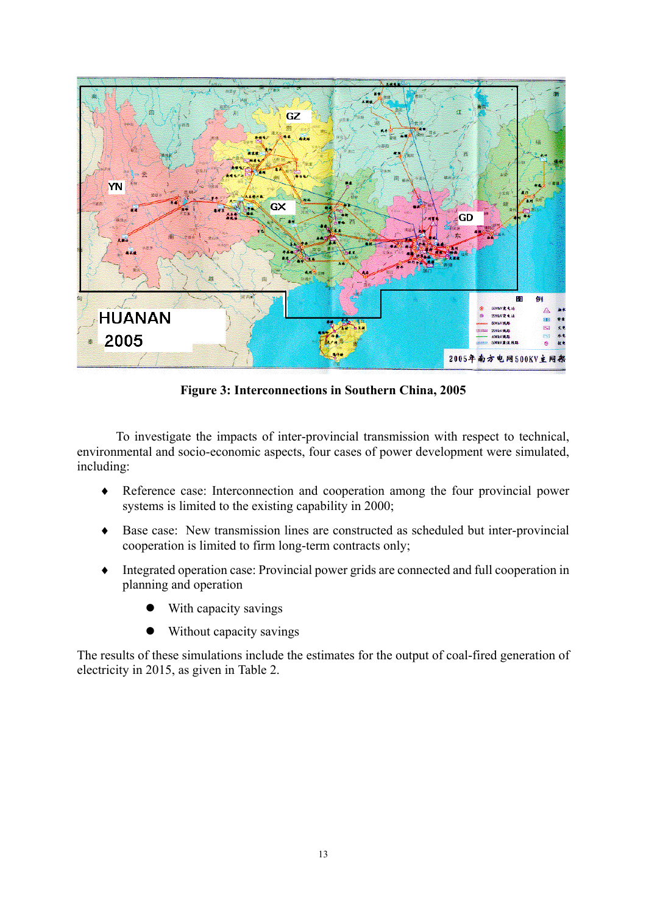

**Figure 3: Interconnections in Southern China, 2005**

To investigate the impacts of inter-provincial transmission with respect to technical, environmental and socio-economic aspects, four cases of power development were simulated, including:

- Reference case: Interconnection and cooperation among the four provincial power systems is limited to the existing capability in 2000; ♦
- ♦ Base case: New transmission lines are constructed as scheduled but inter-provincial cooperation is limited to firm long-term contracts only;
- ♦ Integrated operation case: Provincial power grids are connected and full cooperation in planning and operation
	- With capacity savings
	- Without capacity savings

The results of these simulations include the estimates for the output of coal-fired generation of electricity in 2015, as given in Table 2.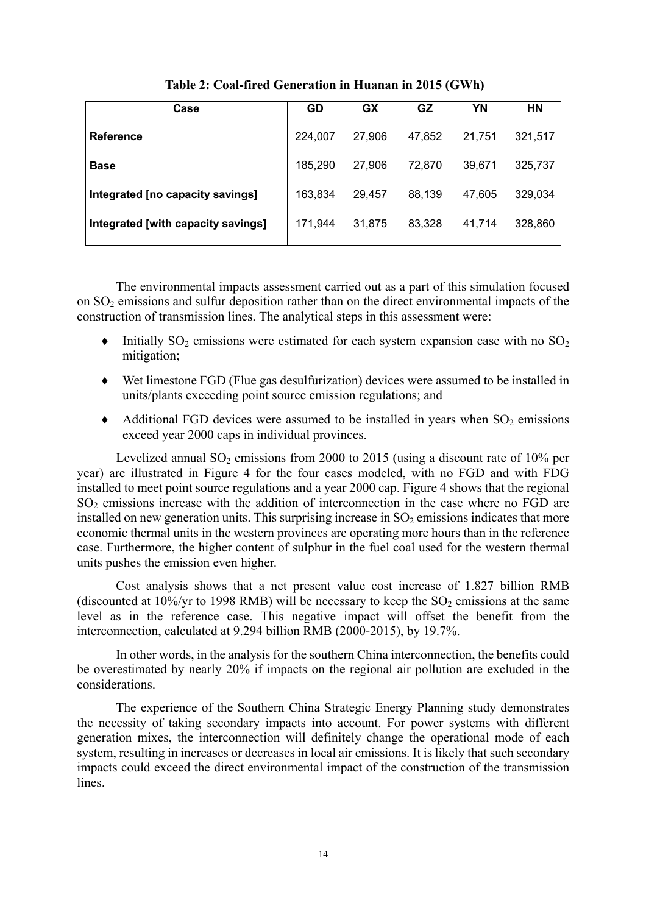| Case                               | GD      | GX     | GZ     | ΥN     | HN      |
|------------------------------------|---------|--------|--------|--------|---------|
| <b>Reference</b>                   | 224,007 | 27,906 | 47,852 | 21,751 | 321,517 |
| <b>Base</b>                        | 185,290 | 27,906 | 72,870 | 39,671 | 325,737 |
| Integrated [no capacity savings]   | 163,834 | 29,457 | 88,139 | 47,605 | 329,034 |
| Integrated [with capacity savings] | 171,944 | 31,875 | 83,328 | 41,714 | 328,860 |

 **Table 2: Coal-fired Generation in Huanan in 2015 (GWh)**

The environmental impacts assessment carried out as a part of this simulation focused on SO2 emissions and sulfur deposition rather than on the direct environmental impacts of the construction of transmission lines. The analytical steps in this assessment were:

- Initially  $SO_2$  emissions were estimated for each system expansion case with no  $SO_2$ mitigation; ♦
- ♦ Wet limestone FGD (Flue gas desulfurization) devices were assumed to be installed in units/plants exceeding point source emission regulations; and
- $\blacklozenge$  Additional FGD devices were assumed to be installed in years when SO<sub>2</sub> emissions exceed year 2000 caps in individual provinces.

Levelized annual  $SO<sub>2</sub>$  emissions from 2000 to 2015 (using a discount rate of 10% per year) are illustrated in Figure 4 for the four cases modeled, with no FGD and with FDG installed to meet point source regulations and a year 2000 cap. Figure 4 shows that the regional  $SO<sub>2</sub>$  emissions increase with the addition of interconnection in the case where no FGD are installed on new generation units. This surprising increase in  $SO<sub>2</sub>$  emissions indicates that more economic thermal units in the western provinces are operating more hours than in the reference case. Furthermore, the higher content of sulphur in the fuel coal used for the western thermal units pushes the emission even higher.

Cost analysis shows that a net present value cost increase of 1.827 billion RMB (discounted at  $10\%$ /yr to 1998 RMB) will be necessary to keep the SO<sub>2</sub> emissions at the same level as in the reference case. This negative impact will offset the benefit from the interconnection, calculated at 9.294 billion RMB (2000-2015), by 19.7%.

In other words, in the analysis for the southern China interconnection, the benefits could be overestimated by nearly 20% if impacts on the regional air pollution are excluded in the considerations.

The experience of the Southern China Strategic Energy Planning study demonstrates the necessity of taking secondary impacts into account. For power systems with different generation mixes, the interconnection will definitely change the operational mode of each system, resulting in increases or decreases in local air emissions. It is likely that such secondary impacts could exceed the direct environmental impact of the construction of the transmission lines.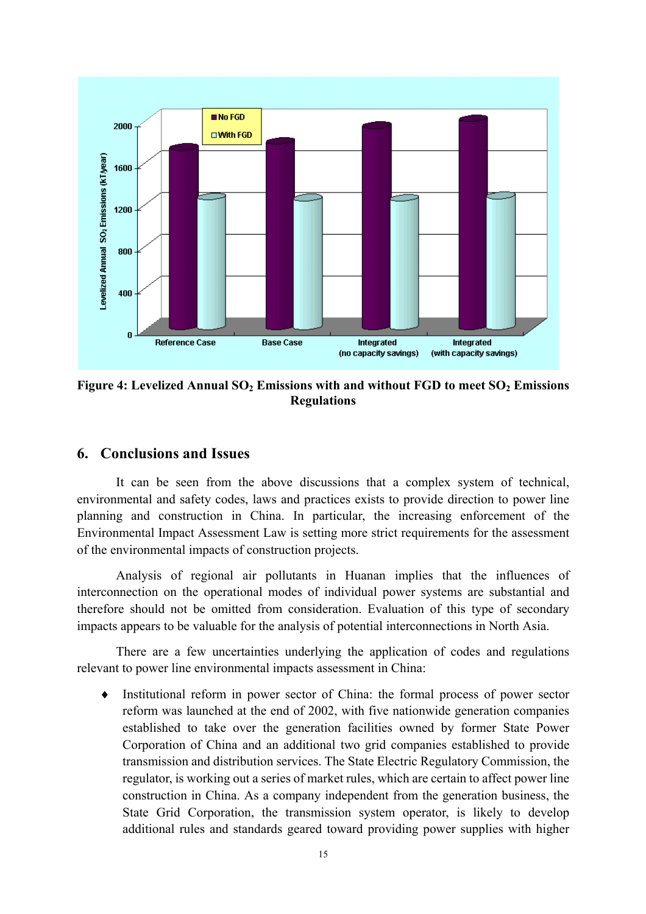

Figure 4: Levelized Annual SO<sub>2</sub> Emissions with and without FGD to meet SO<sub>2</sub> Emissions **Regulations** 

### **6. Conclusions and Issues**

It can be seen from the above discussions that a complex system of technical, environmental and safety codes, laws and practices exists to provide direction to power line planning and construction in China. In particular, the increasing enforcement of the Environmental Impact Assessment Law is setting more strict requirements for the assessment of the environmental impacts of construction projects.

Analysis of regional air pollutants in Huanan implies that the influences of interconnection on the operational modes of individual power systems are substantial and therefore should not be omitted from consideration. Evaluation of this type of secondary impacts appears to be valuable for the analysis of potential interconnections in North Asia.

There are a few uncertainties underlying the application of codes and regulations relevant to power line environmental impacts assessment in China:

Institutional reform in power sector of China: the formal process of power sector reform was launched at the end of 2002, with five nationwide generation companies established to take over the generation facilities owned by former State Power Corporation of China and an additional two grid companies established to provide transmission and distribution services. The State Electric Regulatory Commission, the regulator, is working out a series of market rules, which are certain to affect power line construction in China. As a company independent from the generation business, the State Grid Corporation, the transmission system operator, is likely to develop additional rules and standards geared toward providing power supplies with higher  $\bullet$